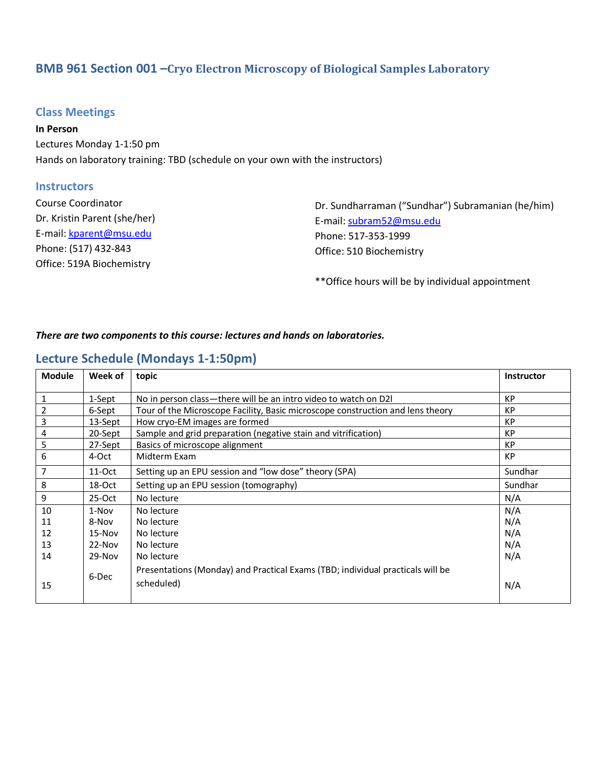# **BMB 961 Section 001 – Cryo Electron Microscopy of Biological Samples Laboratory**

## **Class Meetings**

**In Person** Lectures Monday 1-1:50 pm Hands on laboratory training: TBD (schedule on your own with the instructors)

### **Instructors**

| <b>Course Coordinator</b>    | Dr. Sundl  |
|------------------------------|------------|
| Dr. Kristin Parent (she/her) | E-mail: su |
| E-mail: kparent@msu.edu      | Phone: 5   |
| Phone: (517) 432-843         | Office: 51 |
| Office: 519A Biochemistry    |            |

harraman ("Sundhar") Subramanian (he/him) ubram52@msu.edu Phone: 517-353-1999 10 Biochemistry

\*\*Office hours will be by individual appointment

#### *There are two components to this course: lectures and hands on laboratories.*

## **Lecture Schedule (Mondays 1-1:50pm)**

| <b>Module</b> | Week of  | topic                                                                          | <b>Instructor</b> |
|---------------|----------|--------------------------------------------------------------------------------|-------------------|
| 1             | 1-Sept   | No in person class—there will be an intro video to watch on D2I                | <b>KP</b>         |
| 2             | 6-Sept   | Tour of the Microscope Facility, Basic microscope construction and lens theory | KP                |
| 3             | 13-Sept  | How cryo-EM images are formed<br>KP                                            |                   |
| 4             | 20-Sept  | Sample and grid preparation (negative stain and vitrification)                 | <b>KP</b>         |
| 5             | 27-Sept  | <b>KP</b><br>Basics of microscope alignment                                    |                   |
| 6             | 4-Oct    | Midterm Exam                                                                   | <b>KP</b>         |
| 7             | 11-Oct   | Setting up an EPU session and "low dose" theory (SPA)                          | Sundhar           |
| 8             | 18-Oct   | Setting up an EPU session (tomography)                                         | Sundhar           |
| 9             | $25-Oct$ | No lecture                                                                     | N/A               |
| 10            | 1-Nov    | No lecture                                                                     | N/A               |
| 11            | 8-Nov    | No lecture                                                                     | N/A               |
| 12            | $15-Nov$ | No lecture                                                                     | N/A               |
| 13            | $22-Nov$ | No lecture                                                                     | N/A               |
| 14            | $29-Nov$ | No lecture                                                                     | N/A               |
|               | 6-Dec    | Presentations (Monday) and Practical Exams (TBD; individual practicals will be |                   |
| 15            |          | scheduled)                                                                     | N/A               |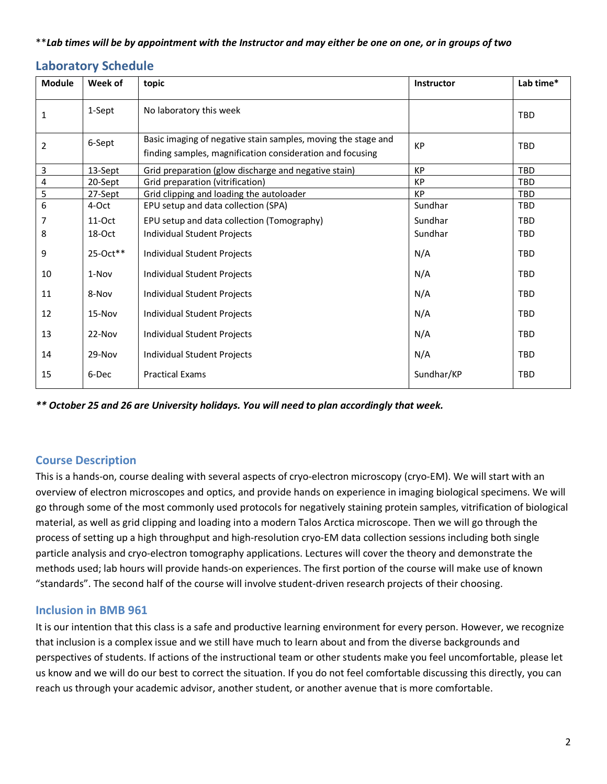### \*\**Lab times will be by appointment with the Instructor and may either be one on one, or in groups of two*

## **Laboratory Schedule**

| <b>Module</b>  | Week of  | topic                                                                                                                      | Instructor | Lab time*  |
|----------------|----------|----------------------------------------------------------------------------------------------------------------------------|------------|------------|
| 1              | 1-Sept   | No laboratory this week                                                                                                    |            | TBD        |
| $\overline{2}$ | 6-Sept   | Basic imaging of negative stain samples, moving the stage and<br>finding samples, magnification consideration and focusing | <b>KP</b>  | TBD        |
| 3              | 13-Sept  | Grid preparation (glow discharge and negative stain)                                                                       | <b>KP</b>  | TBD        |
| 4              | 20-Sept  | Grid preparation (vitrification)                                                                                           | <b>KP</b>  | TBD        |
| 5              | 27-Sept  | Grid clipping and loading the autoloader                                                                                   | <b>KP</b>  | TBD        |
| 6              | 4-Oct    | EPU setup and data collection (SPA)                                                                                        | Sundhar    | TBD        |
| 7              | $11-Oct$ | EPU setup and data collection (Tomography)                                                                                 | Sundhar    | TBD        |
| 8              | 18-Oct   | Individual Student Projects                                                                                                | Sundhar    | TBD        |
| 9              | 25-Oct** | Individual Student Projects                                                                                                | N/A        | <b>TBD</b> |
| 10             | 1-Nov    | Individual Student Projects                                                                                                | N/A        | TBD        |
| 11             | 8-Nov    | Individual Student Projects                                                                                                | N/A        | <b>TBD</b> |
| 12             | 15-Nov   | Individual Student Projects                                                                                                | N/A        | TBD        |
| 13             | 22-Nov   | Individual Student Projects                                                                                                | N/A        | TBD        |
| 14             | 29-Nov   | Individual Student Projects                                                                                                | N/A        | TBD        |
| 15             | 6-Dec    | <b>Practical Exams</b>                                                                                                     | Sundhar/KP | TBD        |

*\*\* October 25 and 26 are University holidays. You will need to plan accordingly that week.*

## **Course Description**

This is a hands-on, course dealing with several aspects of cryo-electron microscopy (cryo-EM). We will start with an overview of electron microscopes and optics, and provide hands on experience in imaging biological specimens. We will go through some of the most commonly used protocols for negatively staining protein samples, vitrification of biological material, as well as grid clipping and loading into a modern Talos Arctica microscope. Then we will go through the process of setting up a high throughput and high-resolution cryo-EM data collection sessions including both single particle analysis and cryo-electron tomography applications. Lectures will cover the theory and demonstrate the methods used; lab hours will provide hands-on experiences. The first portion of the course will make use of known "standards". The second half of the course will involve student-driven research projects of their choosing.

### **Inclusion in BMB 961**

It is our intention that this class is a safe and productive learning environment for every person. However, we recognize that inclusion is a complex issue and we still have much to learn about and from the diverse backgrounds and perspectives of students. If actions of the instructional team or other students make you feel uncomfortable, please let us know and we will do our best to correct the situation. If you do not feel comfortable discussing this directly, you can reach us through your academic advisor, another student, or another avenue that is more comfortable.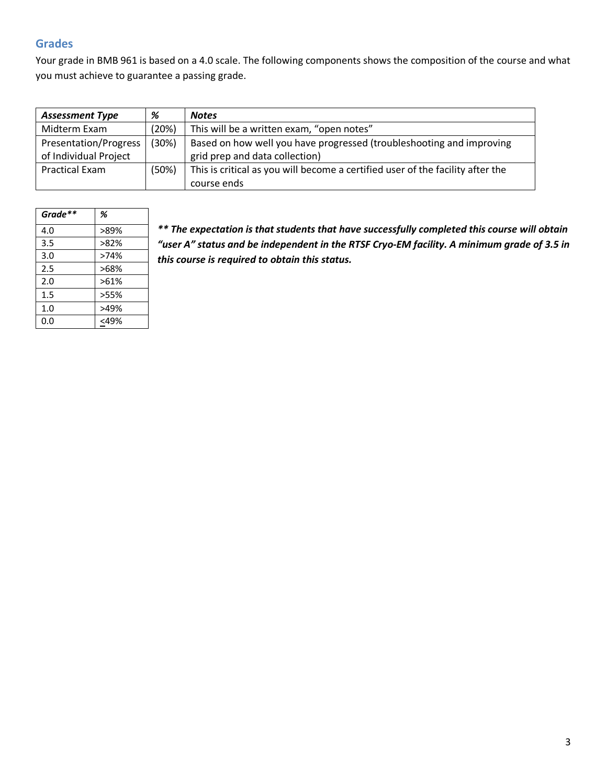## **Grades**

Your grade in BMB 961 is based on a 4.0 scale. The following components shows the composition of the course and what you must achieve to guarantee a passing grade.

| <b>Assessment Type</b> | %     | <b>Notes</b>                                                                   |
|------------------------|-------|--------------------------------------------------------------------------------|
| Midterm Exam           | (20%) | This will be a written exam, "open notes"                                      |
| Presentation/Progress  | (30%) | Based on how well you have progressed (troubleshooting and improving           |
| of Individual Project  |       | grid prep and data collection)                                                 |
| <b>Practical Exam</b>  | (50%) | This is critical as you will become a certified user of the facility after the |
|                        |       | course ends                                                                    |

| Grade** | %    |
|---------|------|
| 4.0     | >89% |
| 3.5     | >82% |
| 3.0     | >74% |
| 2.5     | >68% |
| 2.0     | >61% |
| $1.5\,$ | >55% |
| 1.0     | >49% |
| 0.0     | <49% |

*\*\* The expectation is that students that have successfully completed this course will obtain "user A" status and be independent in the RTSF Cryo-EM facility. A minimum grade of 3.5 in this course is required to obtain this status.*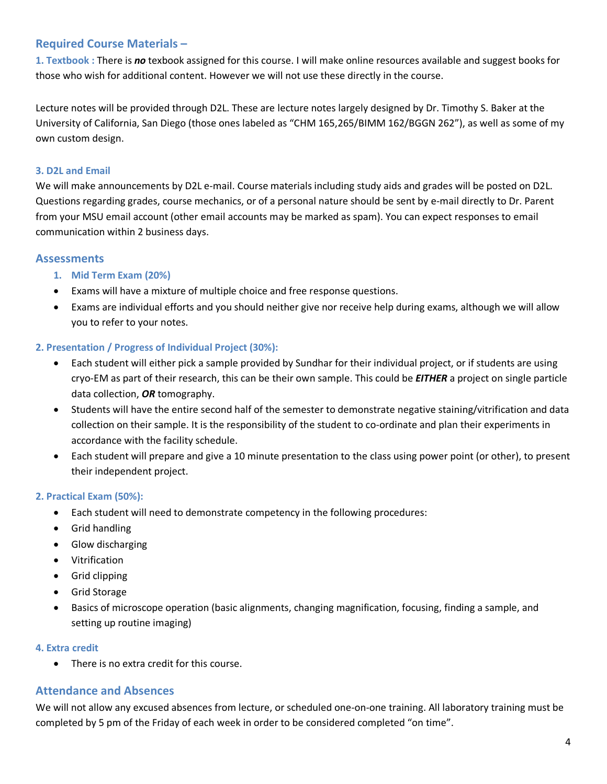## **Required Course Materials –**

**1. Textbook :** There is *no* texbook assigned for this course. I will make online resources available and suggest books for those who wish for additional content. However we will not use these directly in the course.

Lecture notes will be provided through D2L. These are lecture notes largely designed by Dr. Timothy S. Baker at the University of California, San Diego (those ones labeled as "CHM 165,265/BIMM 162/BGGN 262"), as well as some of my own custom design.

### **3. D2L and Email**

We will make announcements by D2L e-mail. Course materials including study aids and grades will be posted on D2L. Questions regarding grades, course mechanics, or of a personal nature should be sent by e-mail directly to Dr. Parent from your MSU email account (other email accounts may be marked as spam). You can expect responses to email communication within 2 business days.

### **Assessments**

### **1. Mid Term Exam (20%)**

- Exams will have a mixture of multiple choice and free response questions.
- Exams are individual efforts and you should neither give nor receive help during exams, although we will allow you to refer to your notes.

### **2. Presentation / Progress of Individual Project (30%):**

- Each student will either pick a sample provided by Sundhar for their individual project, or if students are using cryo-EM as part of their research, this can be their own sample. This could be *EITHER* a project on single particle data collection, *OR* tomography.
- Students will have the entire second half of the semester to demonstrate negative staining/vitrification and data collection on their sample. It is the responsibility of the student to co-ordinate and plan their experiments in accordance with the facility schedule.
- Each student will prepare and give a 10 minute presentation to the class using power point (or other), to present their independent project.

### **2. Practical Exam (50%):**

- Each student will need to demonstrate competency in the following procedures:
- Grid handling
- Glow discharging
- Vitrification
- Grid clipping
- Grid Storage
- Basics of microscope operation (basic alignments, changing magnification, focusing, finding a sample, and setting up routine imaging)

### **4. Extra credit**

• There is no extra credit for this course.

### **Attendance and Absences**

We will not allow any excused absences from lecture, or scheduled one-on-one training. All laboratory training must be completed by 5 pm of the Friday of each week in order to be considered completed "on time".